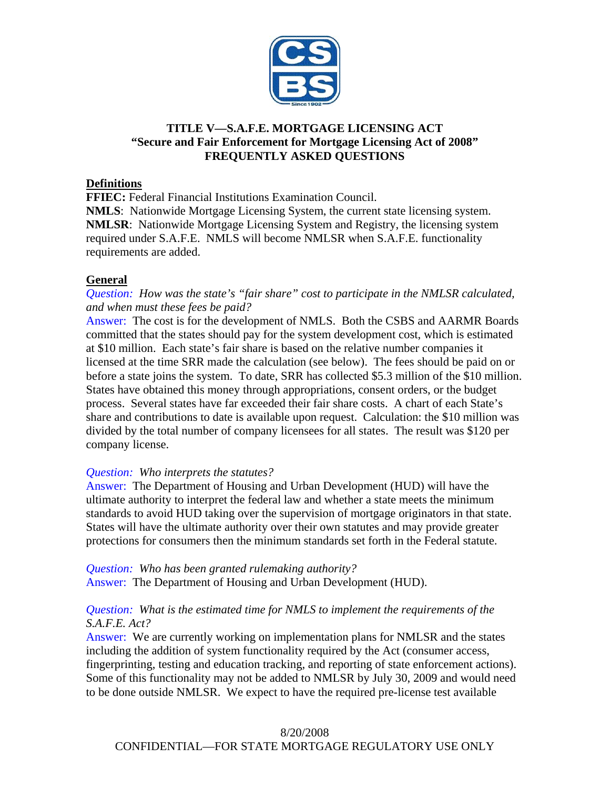

# **TITLE V—S.A.F.E. MORTGAGE LICENSING ACT "Secure and Fair Enforcement for Mortgage Licensing Act of 2008" FREQUENTLY ASKED QUESTIONS**

## **Definitions**

**FFIEC:** Federal Financial Institutions Examination Council.

**NMLS**: Nationwide Mortgage Licensing System, the current state licensing system. **NMLSR**: Nationwide Mortgage Licensing System and Registry, the licensing system required under S.A.F.E. NMLS will become NMLSR when S.A.F.E. functionality requirements are added.

## **General**

## *Question: How was the state's "fair share" cost to participate in the NMLSR calculated, and when must these fees be paid?*

Answer: The cost is for the development of NMLS. Both the CSBS and AARMR Boards committed that the states should pay for the system development cost, which is estimated at \$10 million. Each state's fair share is based on the relative number companies it licensed at the time SRR made the calculation (see below). The fees should be paid on or before a state joins the system. To date, SRR has collected \$5.3 million of the \$10 million. States have obtained this money through appropriations, consent orders, or the budget process. Several states have far exceeded their fair share costs. A chart of each State's share and contributions to date is available upon request. Calculation: the \$10 million was divided by the total number of company licensees for all states. The result was \$120 per company license.

### *Question: Who interprets the statutes?*

Answer: The Department of Housing and Urban Development (HUD) will have the ultimate authority to interpret the federal law and whether a state meets the minimum standards to avoid HUD taking over the supervision of mortgage originators in that state. States will have the ultimate authority over their own statutes and may provide greater protections for consumers then the minimum standards set forth in the Federal statute.

*Question: Who has been granted rulemaking authority?* Answer: The Department of Housing and Urban Development (HUD).

# *Question: What is the estimated time for NMLS to implement the requirements of the S.A.F.E. Act?*

Answer: We are currently working on implementation plans for NMLSR and the states including the addition of system functionality required by the Act (consumer access, fingerprinting, testing and education tracking, and reporting of state enforcement actions). Some of this functionality may not be added to NMLSR by July 30, 2009 and would need to be done outside NMLSR. We expect to have the required pre-license test available

# 8/20/2008

## CONFIDENTIAL—FOR STATE MORTGAGE REGULATORY USE ONLY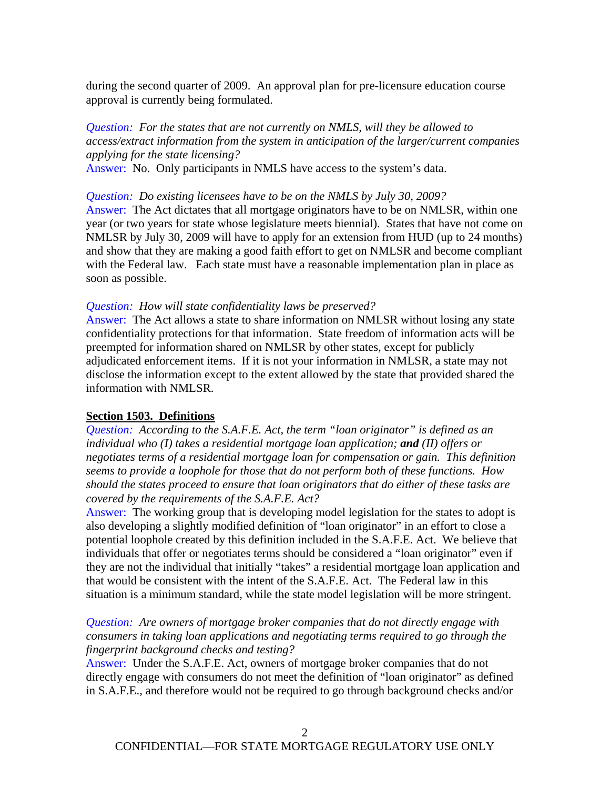during the second quarter of 2009. An approval plan for pre-licensure education course approval is currently being formulated.

## *Question: For the states that are not currently on NMLS, will they be allowed to access/extract information from the system in anticipation of the larger/current companies applying for the state licensing?*

Answer: No. Only participants in NMLS have access to the system's data.

*Question: Do existing licensees have to be on the NMLS by July 30, 2009?*

Answer: The Act dictates that all mortgage originators have to be on NMLSR, within one year (or two years for state whose legislature meets biennial). States that have not come on NMLSR by July 30, 2009 will have to apply for an extension from HUD (up to 24 months) and show that they are making a good faith effort to get on NMLSR and become compliant with the Federal law. Each state must have a reasonable implementation plan in place as soon as possible.

#### *Question: How will state confidentiality laws be preserved?*

Answer: The Act allows a state to share information on NMLSR without losing any state confidentiality protections for that information. State freedom of information acts will be preempted for information shared on NMLSR by other states, except for publicly adjudicated enforcement items. If it is not your information in NMLSR, a state may not disclose the information except to the extent allowed by the state that provided shared the information with NMLSR.

### **Section 1503. Definitions**

*Question: According to the S.A.F.E. Act, the term "loan originator" is defined as an individual who (I) takes a residential mortgage loan application; and (II) offers or negotiates terms of a residential mortgage loan for compensation or gain. This definition seems to provide a loophole for those that do not perform both of these functions. How should the states proceed to ensure that loan originators that do either of these tasks are covered by the requirements of the S.A.F.E. Act?*

Answer: The working group that is developing model legislation for the states to adopt is also developing a slightly modified definition of "loan originator" in an effort to close a potential loophole created by this definition included in the S.A.F.E. Act. We believe that individuals that offer or negotiates terms should be considered a "loan originator" even if they are not the individual that initially "takes" a residential mortgage loan application and that would be consistent with the intent of the S.A.F.E. Act. The Federal law in this situation is a minimum standard, while the state model legislation will be more stringent.

### *Question: Are owners of mortgage broker companies that do not directly engage with consumers in taking loan applications and negotiating terms required to go through the fingerprint background checks and testing?*

Answer: Under the S.A.F.E. Act, owners of mortgage broker companies that do not directly engage with consumers do not meet the definition of "loan originator" as defined in S.A.F.E., and therefore would not be required to go through background checks and/or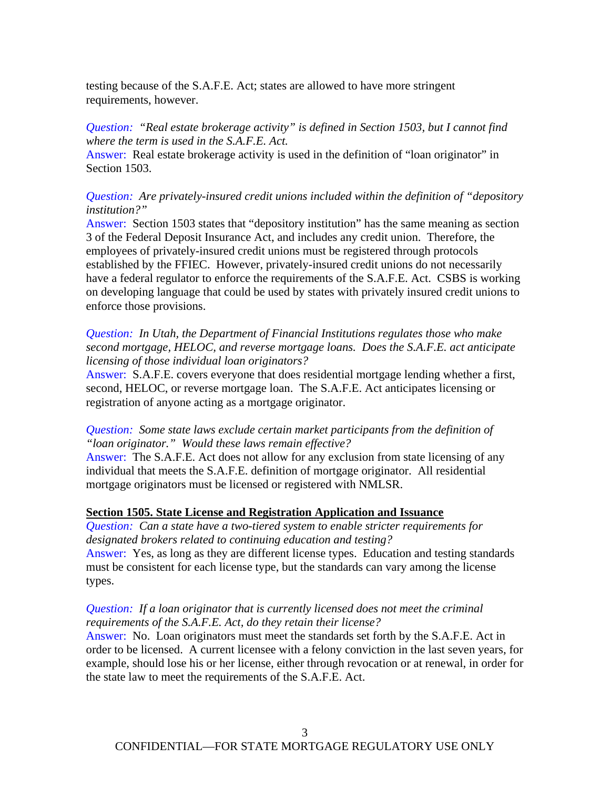testing because of the S.A.F.E. Act; states are allowed to have more stringent requirements, however.

## *Question: "Real estate brokerage activity" is defined in Section 1503, but I cannot find where the term is used in the S.A.F.E. Act.*

Answer: Real estate brokerage activity is used in the definition of "loan originator" in Section 1503.

### *Question: Are privately-insured credit unions included within the definition of "depository institution?"*

Answer: Section 1503 states that "depository institution" has the same meaning as section 3 of the Federal Deposit Insurance Act, and includes any credit union. Therefore, the employees of privately-insured credit unions must be registered through protocols established by the FFIEC. However, privately-insured credit unions do not necessarily have a federal regulator to enforce the requirements of the S.A.F.E. Act. CSBS is working on developing language that could be used by states with privately insured credit unions to enforce those provisions.

*Question: In Utah, the Department of Financial Institutions regulates those who make second mortgage, HELOC, and reverse mortgage loans. Does the S.A.F.E. act anticipate licensing of those individual loan originators?*

Answer: S.A.F.E. covers everyone that does residential mortgage lending whether a first, second, HELOC, or reverse mortgage loan. The S.A.F.E. Act anticipates licensing or registration of anyone acting as a mortgage originator.

### *Question: Some state laws exclude certain market participants from the definition of "loan originator." Would these laws remain effective?*

Answer: The S.A.F.E. Act does not allow for any exclusion from state licensing of any individual that meets the S.A.F.E. definition of mortgage originator. All residential mortgage originators must be licensed or registered with NMLSR.

### **Section 1505. State License and Registration Application and Issuance**

*Question: Can a state have a two-tiered system to enable stricter requirements for designated brokers related to continuing education and testing?* Answer: Yes, as long as they are different license types. Education and testing standards must be consistent for each license type, but the standards can vary among the license types.

## *Question: If a loan originator that is currently licensed does not meet the criminal requirements of the S.A.F.E. Act, do they retain their license?*

Answer: No. Loan originators must meet the standards set forth by the S.A.F.E. Act in order to be licensed. A current licensee with a felony conviction in the last seven years, for example, should lose his or her license, either through revocation or at renewal, in order for the state law to meet the requirements of the S.A.F.E. Act.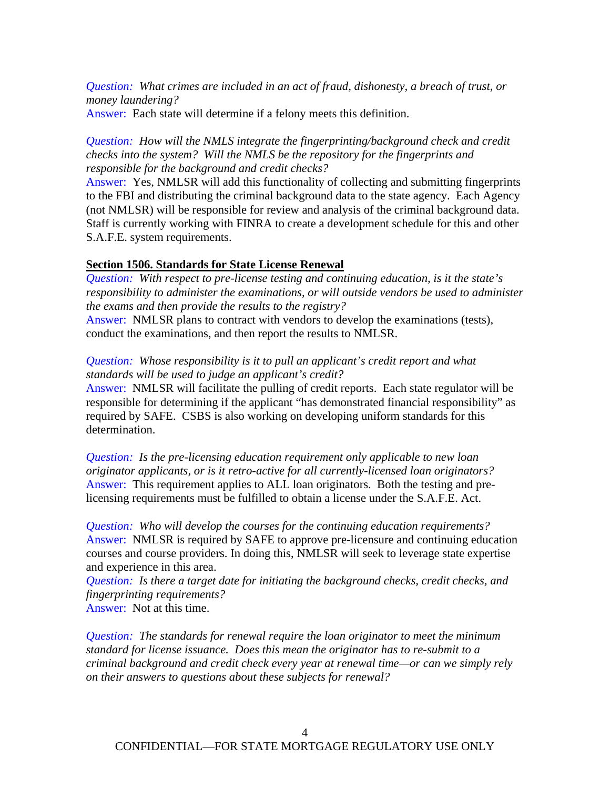*Question: What crimes are included in an act of fraud, dishonesty, a breach of trust, or money laundering?* Answer: Each state will determine if a felony meets this definition.

*Question: How will the NMLS integrate the fingerprinting/background check and credit checks into the system? Will the NMLS be the repository for the fingerprints and responsible for the background and credit checks?* 

Answer: Yes, NMLSR will add this functionality of collecting and submitting fingerprints to the FBI and distributing the criminal background data to the state agency. Each Agency (not NMLSR) will be responsible for review and analysis of the criminal background data. Staff is currently working with FINRA to create a development schedule for this and other S.A.F.E. system requirements.

#### **Section 1506. Standards for State License Renewal**

*Question: With respect to pre-license testing and continuing education, is it the state's responsibility to administer the examinations, or will outside vendors be used to administer the exams and then provide the results to the registry?*

Answer: NMLSR plans to contract with vendors to develop the examinations (tests), conduct the examinations, and then report the results to NMLSR.

### *Question: Whose responsibility is it to pull an applicant's credit report and what standards will be used to judge an applicant's credit?*

Answer: NMLSR will facilitate the pulling of credit reports. Each state regulator will be responsible for determining if the applicant "has demonstrated financial responsibility" as required by SAFE. CSBS is also working on developing uniform standards for this determination.

*Question: Is the pre-licensing education requirement only applicable to new loan originator applicants, or is it retro-active for all currently-licensed loan originators?* Answer: This requirement applies to ALL loan originators. Both the testing and prelicensing requirements must be fulfilled to obtain a license under the S.A.F.E. Act.

*Question: Who will develop the courses for the continuing education requirements?* Answer: NMLSR is required by SAFE to approve pre-licensure and continuing education courses and course providers. In doing this, NMLSR will seek to leverage state expertise and experience in this area.

*Question: Is there a target date for initiating the background checks, credit checks, and fingerprinting requirements?* Answer: Not at this time.

*Question: The standards for renewal require the loan originator to meet the minimum standard for license issuance. Does this mean the originator has to re-submit to a criminal background and credit check every year at renewal time—or can we simply rely on their answers to questions about these subjects for renewal?*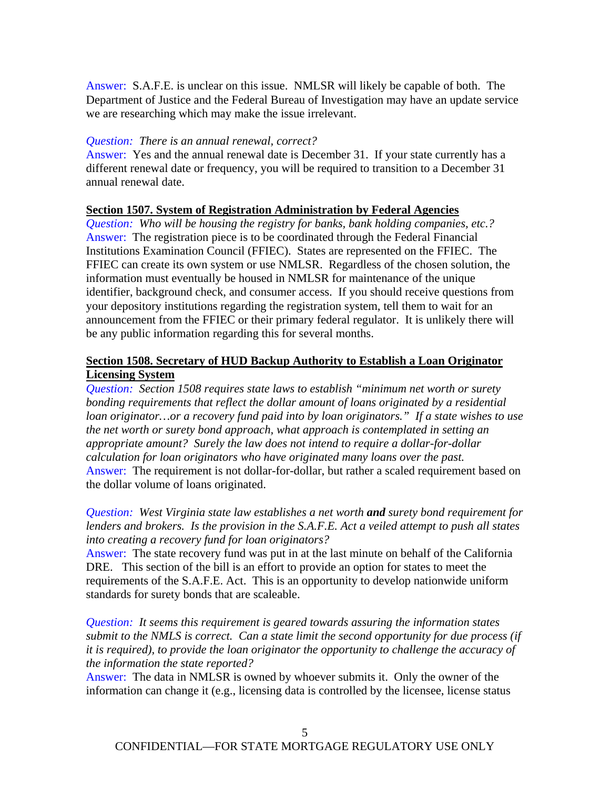Answer: S.A.F.E. is unclear on this issue. NMLSR will likely be capable of both. The Department of Justice and the Federal Bureau of Investigation may have an update service we are researching which may make the issue irrelevant.

#### *Question: There is an annual renewal, correct?*

Answer: Yes and the annual renewal date is December 31. If your state currently has a different renewal date or frequency, you will be required to transition to a December 31 annual renewal date.

#### **Section 1507. System of Registration Administration by Federal Agencies**

*Question: Who will be housing the registry for banks, bank holding companies, etc.?*  Answer: The registration piece is to be coordinated through the Federal Financial Institutions Examination Council (FFIEC). States are represented on the FFIEC. The FFIEC can create its own system or use NMLSR. Regardless of the chosen solution, the information must eventually be housed in NMLSR for maintenance of the unique identifier, background check, and consumer access. If you should receive questions from your depository institutions regarding the registration system, tell them to wait for an announcement from the FFIEC or their primary federal regulator. It is unlikely there will be any public information regarding this for several months.

## **Section 1508. Secretary of HUD Backup Authority to Establish a Loan Originator Licensing System**

*Question: Section 1508 requires state laws to establish "minimum net worth or surety bonding requirements that reflect the dollar amount of loans originated by a residential loan originator…or a recovery fund paid into by loan originators." If a state wishes to use the net worth or surety bond approach, what approach is contemplated in setting an appropriate amount? Surely the law does not intend to require a dollar-for-dollar calculation for loan originators who have originated many loans over the past.* Answer: The requirement is not dollar-for-dollar, but rather a scaled requirement based on the dollar volume of loans originated.

*Question: West Virginia state law establishes a net worth and surety bond requirement for lenders and brokers. Is the provision in the S.A.F.E. Act a veiled attempt to push all states into creating a recovery fund for loan originators?*

Answer: The state recovery fund was put in at the last minute on behalf of the California DRE. This section of the bill is an effort to provide an option for states to meet the requirements of the S.A.F.E. Act. This is an opportunity to develop nationwide uniform standards for surety bonds that are scaleable.

*Question: It seems this requirement is geared towards assuring the information states submit to the NMLS is correct. Can a state limit the second opportunity for due process (if it is required), to provide the loan originator the opportunity to challenge the accuracy of the information the state reported?* 

Answer: The data in NMLSR is owned by whoever submits it. Only the owner of the information can change it (e.g., licensing data is controlled by the licensee, license status